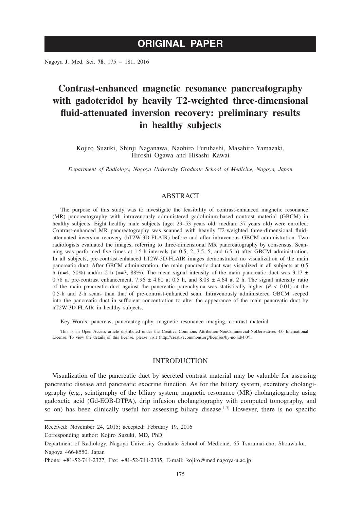Nagoya J. Med. Sci. **78**. 175 ~ 181, 2016

# **Contrast-enhanced magnetic resonance pancreatography with gadoteridol by heavily T2-weighted three-dimensional fluid-attenuated inversion recovery: preliminary results in healthy subjects**

Kojiro Suzuki, Shinji Naganawa, Naohiro Furuhashi, Masahiro Yamazaki, Hiroshi Ogawa and Hisashi Kawai

*Department of Radiology, Nagoya University Graduate School of Medicine, Nagoya, Japan*

# ABSTRACT

The purpose of this study was to investigate the feasibility of contrast-enhanced magnetic resonance (MR) pancreatography with intravenously administered gadolinium-based contrast material (GBCM) in healthy subjects. Eight healthy male subjects (age: 29–53 years old, median: 37 years old) were enrolled. Contrast-enhanced MR pancreatography was scanned with heavily T2-weighted three-dimensional fluidattenuated inversion recovery (hT2W-3D-FLAIR) before and after intravenous GBCM administration. Two radiologists evaluated the images, referring to three-dimensional MR pancreatography by consensus. Scanning was performed five times at 1.5-h intervals (at 0.5, 2, 3.5, 5, and 6.5 h) after GBCM administration. In all subjects, pre-contrast-enhanced hT2W-3D-FLAIR images demonstrated no visualization of the main pancreatic duct. After GBCM administration, the main pancreatic duct was visualized in all subjects at 0.5 h (n=4, 50%) and/or 2 h (n=7, 88%). The mean signal intensity of the main pancreatic duct was  $3.17 \pm$ 0.78 at pre-contrast enhancement, 7.96  $\pm$  4.60 at 0.5 h, and 8.08  $\pm$  4.64 at 2 h. The signal intensity ratio of the main pancreatic duct against the pancreatic parenchyma was statistically higher  $(P < 0.01)$  at the 0.5-h and 2-h scans than that of pre-contrast-enhanced scan. Intravenously administered GBCM seeped into the pancreatic duct in sufficient concentration to alter the appearance of the main pancreatic duct by hT2W-3D-FLAIR in healthy subjects.

Key Words: pancreas, pancreatography, magnetic resonance imaging, contrast material

This is an Open Access article distributed under the Creative Commons Attribution-NonCommercial-NoDerivatives 4.0 International License. To view the details of this license, please visit (http://creativecommons.org/licenses/by-nc-nd/4.0/).

# INTRODUCTION

Visualization of the pancreatic duct by secreted contrast material may be valuable for assessing pancreatic disease and pancreatic exocrine function. As for the biliary system, excretory cholangiography (e.g., scintigraphy of the biliary system, magnetic resonance (MR) cholangiography using gadoxetic acid (Gd-EOB-DTPA), drip infusion cholangiography with computed tomography, and so on) has been clinically useful for assessing biliary disease.<sup>1-3)</sup> However, there is no specific

Corresponding author: Kojiro Suzuki, MD, PhD

Received: November 24, 2015; accepted: February 19, 2016

Department of Radiology, Nagoya University Graduate School of Medicine, 65 Tsurumai-cho, Shouwa-ku, Nagoya 466-8550, Japan

Phone: +81-52-744-2327, Fax: +81-52-744-2335, E-mail: kojiro@med.nagoya-u.ac.jp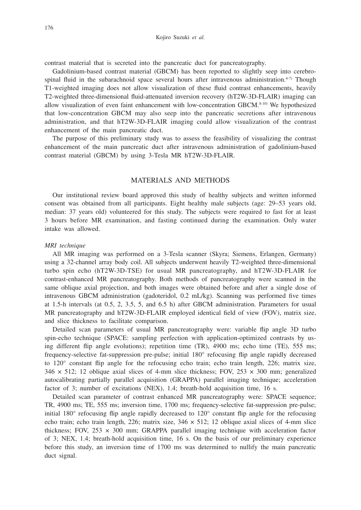contrast material that is secreted into the pancreatic duct for pancreatography.

Gadolinium-based contrast material (GBCM) has been reported to slightly seep into cerebrospinal fluid in the subarachnoid space several hours after intravenous administration.<sup>4-7)</sup> Though T1-weighted imaging does not allow visualization of these fluid contrast enhancements, heavily T2-weighted three-dimensional fluid-attenuated inversion recovery (hT2W-3D-FLAIR) imaging can allow visualization of even faint enhancement with low-concentration GBCM. $8-10$ ) We hypothesized that low-concentration GBCM may also seep into the pancreatic secretions after intravenous administration, and that hT2W-3D-FLAIR imaging could allow visualization of the contrast enhancement of the main pancreatic duct.

The purpose of this preliminary study was to assess the feasibility of visualizing the contrast enhancement of the main pancreatic duct after intravenous administration of gadolinium-based contrast material (GBCM) by using 3-Tesla MR hT2W-3D-FLAIR.

## MATERIALS AND METHODS

Our institutional review board approved this study of healthy subjects and written informed consent was obtained from all participants. Eight healthy male subjects (age: 29–53 years old, median: 37 years old) volunteered for this study. The subjects were required to fast for at least 3 hours before MR examination, and fasting continued during the examination. Only water intake was allowed.

## *MRI technique*

All MR imaging was performed on a 3-Tesla scanner (Skyra; Siemens, Erlangen, Germany) using a 32-channel array body coil. All subjects underwent heavily T2-weighted three-dimensional turbo spin echo (hT2W-3D-TSE) for usual MR pancreatography, and hT2W-3D-FLAIR for contrast-enhanced MR pancreatography. Both methods of pancreatography were scanned in the same oblique axial projection, and both images were obtained before and after a single dose of intravenous GBCM administration (gadoteridol, 0.2 mL/kg). Scanning was performed five times at 1.5-h intervals (at 0.5, 2, 3.5, 5, and 6.5 h) after GBCM administration. Parameters for usual MR pancreatography and hT2W-3D-FLAIR employed identical field of view (FOV), matrix size, and slice thickness to facilitate comparison.

Detailed scan parameters of usual MR pancreatography were: variable flip angle 3D turbo spin-echo technique (SPACE: sampling perfection with application-optimized contrasts by using different flip angle evolutions); repetition time (TR), 4900 ms; echo time (TE), 555 ms; frequency-selective fat-suppression pre-pulse; initial 180° refocusing flip angle rapidly decreased to 120° constant flip angle for the refocusing echo train; echo train length, 226; matrix size, 346  $\times$  512; 12 oblique axial slices of 4-mm slice thickness; FOV, 253  $\times$  300 mm; generalized autocalibrating partially parallel acquisition (GRAPPA) parallel imaging technique; acceleration factor of 3; number of excitations (NEX), 1.4; breath-hold acquisition time, 16 s.

Detailed scan parameter of contrast enhanced MR pancreatography were: SPACE sequence; TR, 4900 ms; TE, 555 ms; inversion time, 1700 ms; frequency-selective fat-suppression pre-pulse; initial 180° refocusing flip angle rapidly decreased to 120° constant flip angle for the refocusing echo train; echo train length, 226; matrix size,  $346 \times 512$ ; 12 oblique axial slices of 4-mm slice thickness; FOV,  $253 \times 300$  mm; GRAPPA parallel imaging technique with acceleration factor of 3; NEX, 1.4; breath-hold acquisition time, 16 s. On the basis of our preliminary experience before this study, an inversion time of 1700 ms was determined to nullify the main pancreatic duct signal.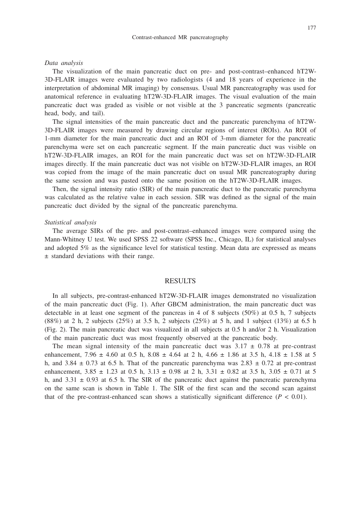#### Contrast-enhanced MR pancreatography

#### *Data analysis*

The visualization of the main pancreatic duct on pre- and post-contrast–enhanced hT2W-3D-FLAIR images were evaluated by two radiologists (4 and 18 years of experience in the interpretation of abdominal MR imaging) by consensus. Usual MR pancreatography was used for anatomical reference in evaluating hT2W-3D-FLAIR images. The visual evaluation of the main pancreatic duct was graded as visible or not visible at the 3 pancreatic segments (pancreatic head, body, and tail).

The signal intensities of the main pancreatic duct and the pancreatic parenchyma of hT2W-3D-FLAIR images were measured by drawing circular regions of interest (ROIs). An ROI of 1-mm diameter for the main pancreatic duct and an ROI of 3-mm diameter for the pancreatic parenchyma were set on each pancreatic segment. If the main pancreatic duct was visible on hT2W-3D-FLAIR images, an ROI for the main pancreatic duct was set on hT2W-3D-FLAIR images directly. If the main pancreatic duct was not visible on hT2W-3D-FLAIR images, an ROI was copied from the image of the main pancreatic duct on usual MR pancreatography during the same session and was pasted onto the same position on the hT2W-3D-FLAIR images.

Then, the signal intensity ratio (SIR) of the main pancreatic duct to the pancreatic parenchyma was calculated as the relative value in each session. SIR was defined as the signal of the main pancreatic duct divided by the signal of the pancreatic parenchyma.

#### *Statistical analysis*

The average SIRs of the pre- and post-contrast–enhanced images were compared using the Mann-Whitney U test. We used SPSS 22 software (SPSS Inc., Chicago, IL) for statistical analyses and adopted 5% as the significance level for statistical testing. Mean data are expressed as means ± standard deviations with their range.

## RESULTS

In all subjects, pre-contrast-enhanced hT2W-3D-FLAIR images demonstrated no visualization of the main pancreatic duct (Fig. 1). After GBCM administration, the main pancreatic duct was detectable in at least one segment of the pancreas in 4 of 8 subjects (50%) at 0.5 h, 7 subjects (88%) at 2 h, 2 subjects (25%) at 3.5 h, 2 subjects (25%) at 5 h, and 1 subject (13%) at 6.5 h (Fig. 2). The main pancreatic duct was visualized in all subjects at 0.5 h and/or 2 h. Visualization of the main pancreatic duct was most frequently observed at the pancreatic body.

The mean signal intensity of the main pancreatic duct was  $3.17 \pm 0.78$  at pre-contrast enhancement, 7.96  $\pm$  4.60 at 0.5 h, 8.08  $\pm$  4.64 at 2 h, 4.66  $\pm$  1.86 at 3.5 h, 4.18  $\pm$  1.58 at 5 h, and 3.84  $\pm$  0.73 at 6.5 h. That of the pancreatic parenchyma was 2.83  $\pm$  0.72 at pre-contrast enhancement,  $3.85 \pm 1.23$  at 0.5 h,  $3.13 \pm 0.98$  at 2 h,  $3.31 \pm 0.82$  at 3.5 h,  $3.05 \pm 0.71$  at 5 h, and  $3.31 \pm 0.93$  at 6.5 h. The SIR of the pancreatic duct against the pancreatic parenchyma on the same scan is shown in Table 1. The SIR of the first scan and the second scan against that of the pre-contrast-enhanced scan shows a statistically significant difference  $(P < 0.01)$ .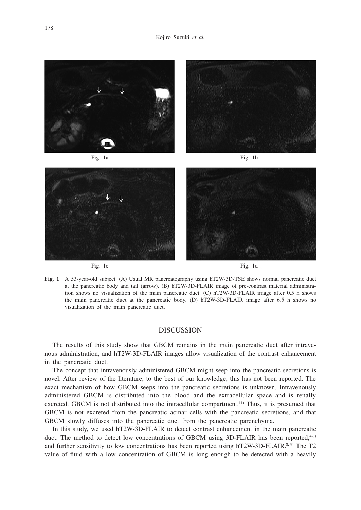

**Fig. 1** A 53-year-old subject. (A) Usual MR pancreatography using hT2W-3D-TSE shows normal pancreatic duct at the pancreatic body and tail (arrow). (B) hT2W-3D-FLAIR image of pre-contrast material administration shows no visualization of the main pancreatic duct. (C) hT2W-3D-FLAIR image after 0.5 h shows the main pancreatic duct at the pancreatic body. (D) hT2W-3D-FLAIR image after 6.5 h shows no visualization of the main pancreatic duct.

# DISCUSSION

The results of this study show that GBCM remains in the main pancreatic duct after intravenous administration, and hT2W-3D-FLAIR images allow visualization of the contrast enhancement in the pancreatic duct.

The concept that intravenously administered GBCM might seep into the pancreatic secretions is novel. After review of the literature, to the best of our knowledge, this has not been reported. The exact mechanism of how GBCM seeps into the pancreatic secretions is unknown. Intravenously administered GBCM is distributed into the blood and the extracellular space and is renally excreted. GBCM is not distributed into the intracellular compartment.<sup>11)</sup> Thus, it is presumed that GBCM is not excreted from the pancreatic acinar cells with the pancreatic secretions, and that GBCM slowly diffuses into the pancreatic duct from the pancreatic parenchyma.

In this study, we used hT2W-3D-FLAIR to detect contrast enhancement in the main pancreatic duct. The method to detect low concentrations of GBCM using 3D-FLAIR has been reported, $4\pi$ and further sensitivity to low concentrations has been reported using hT2W-3D-FLAIR.<sup>8, 9)</sup> The T2 value of fluid with a low concentration of GBCM is long enough to be detected with a heavily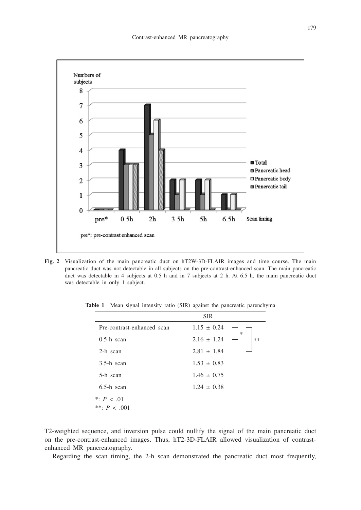

**Fig. 2** Visualization of the main pancreatic duct on hT2W-3D-FLAIR images and time course. The main pancreatic duct was not detectable in all subjects on the pre-contrast-enhanced scan. The main pancreatic duct was detectable in 4 subjects at 0.5 h and in 7 subjects at 2 h. At 6.5 h, the main pancreatic duct was detectable in only 1 subject.

|                            | <b>SIR</b>      |        |
|----------------------------|-----------------|--------|
| Pre-contrast-enhanced scan | $1.15 \pm 0.24$ | $\ast$ |
| $0.5-h$ scan               | $2.16 \pm 1.24$ | **     |
| 2-h scan                   | $2.81 \pm 1.84$ |        |
| $3.5-h$ scan               | $1.53 \pm 0.83$ |        |
| 5-h scan                   | $1.46 \pm 0.75$ |        |
| $6.5-h$ scan               | $1.24 \pm 0.38$ |        |
| *: $P < .01$               |                 |        |

**Table 1** Mean signal intensity ratio (SIR) against the pancreatic parenchyma

\*\*: *P* < .001

T2-weighted sequence, and inversion pulse could nullify the signal of the main pancreatic duct on the pre-contrast-enhanced images. Thus, hT2-3D-FLAIR allowed visualization of contrastenhanced MR pancreatography.

Regarding the scan timing, the 2-h scan demonstrated the pancreatic duct most frequently,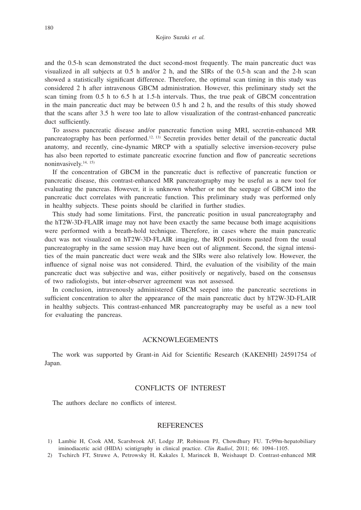and the 0.5-h scan demonstrated the duct second-most frequently. The main pancreatic duct was visualized in all subjects at 0.5 h and/or 2 h, and the SIRs of the 0.5-h scan and the 2-h scan showed a statistically significant difference. Therefore, the optimal scan timing in this study was considered 2 h after intravenous GBCM administration. However, this preliminary study set the scan timing from 0.5 h to 6.5 h at 1.5-h intervals. Thus, the true peak of GBCM concentration in the main pancreatic duct may be between 0.5 h and 2 h, and the results of this study showed that the scans after 3.5 h were too late to allow visualization of the contrast-enhanced pancreatic duct sufficiently.

To assess pancreatic disease and/or pancreatic function using MRI, secretin-enhanced MR pancreatography has been performed.12, 13) Secretin provides better detail of the pancreatic ductal anatomy, and recently, cine-dynamic MRCP with a spatially selective inversion-recovery pulse has also been reported to estimate pancreatic exocrine function and flow of pancreatic secretions noninvasively.14, 15)

If the concentration of GBCM in the pancreatic duct is reflective of pancreatic function or pancreatic disease, this contrast-enhanced MR pancreatography may be useful as a new tool for evaluating the pancreas. However, it is unknown whether or not the seepage of GBCM into the pancreatic duct correlates with pancreatic function. This preliminary study was performed only in healthy subjects. These points should be clarified in further studies.

This study had some limitations. First, the pancreatic position in usual pancreatography and the hT2W-3D-FLAIR image may not have been exactly the same because both image acquisitions were performed with a breath-hold technique. Therefore, in cases where the main pancreatic duct was not visualized on hT2W-3D-FLAIR imaging, the ROI positions pasted from the usual pancreatography in the same session may have been out of alignment. Second, the signal intensities of the main pancreatic duct were weak and the SIRs were also relatively low. However, the influence of signal noise was not considered. Third, the evaluation of the visibility of the main pancreatic duct was subjective and was, either positively or negatively, based on the consensus of two radiologists, but inter-observer agreement was not assessed.

In conclusion, intravenously administered GBCM seeped into the pancreatic secretions in sufficient concentration to alter the appearance of the main pancreatic duct by hT2W-3D-FLAIR in healthy subjects. This contrast-enhanced MR pancreatography may be useful as a new tool for evaluating the pancreas.

## ACKNOWLEGEMENTS

The work was supported by Grant-in Aid for Scientific Research (KAKENHI) 24591754 of Japan.

# CONFLICTS OF INTEREST

The authors declare no conflicts of interest.

## REFERENCES

- 1) Lambie H, Cook AM, Scarsbrook AF, Lodge JP, Robinson PJ, Chowdhury FU. Tc99m-hepatobiliary iminodiacetic acid (HIDA) scintigraphy in clinical practice. *Clin Radiol*, 2011; 66: 1094–1105.
- 2) Tschirch FT, Struwe A, Petrowsky H, Kakales I, Marincek B, Weishaupt D. Contrast-enhanced MR